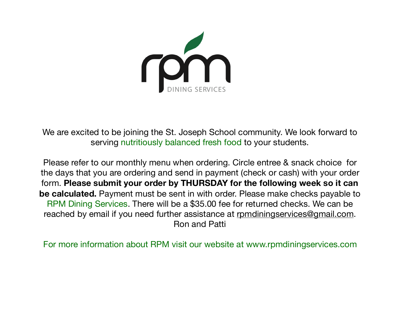

We are excited to be joining the St. Joseph School community. We look forward to serving nutritiously balanced fresh food to your students.

Please refer to our monthly menu when ordering. Circle entree & snack choice for the days that you are ordering and send in payment (check or cash) with your order form. **Please submit your order by THURSDAY for the following week so it can be calculated.** Payment must be sent in with order. Please make checks payable to RPM Dining Services. There will be a \$35.00 fee for returned checks. We can be reached by email if you need further assistance at [rpmdiningservices@gmail.com](mailto:rpmdiningservices@gmail.com). Ron and Patti

For more information about RPM visit our website at www.rpmdiningservices.com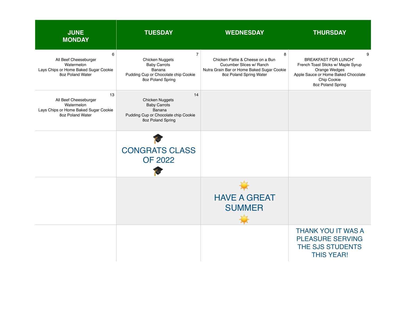| <b>JUNE</b><br><b>MONDAY</b>                                                                           | <b>TUESDAY</b>                                                                                                                         | <b>WEDNESDAY</b>                                                                                                                           | <b>THURSDAY</b>                                                                                                                                                    |
|--------------------------------------------------------------------------------------------------------|----------------------------------------------------------------------------------------------------------------------------------------|--------------------------------------------------------------------------------------------------------------------------------------------|--------------------------------------------------------------------------------------------------------------------------------------------------------------------|
| 6<br>All Beef Cheeseburger<br>Watermelon<br>Lays Chips or Home Baked Sugar Cookie<br>8oz Poland Water  | $\overline{7}$<br><b>Chicken Nuggets</b><br><b>Baby Carrots</b><br>Banana<br>Pudding Cup or Chocolate chip Cookie<br>8oz Poland Spring | 8<br>Chicken Pattie & Cheese on a Bun<br>Cucumber Slices w/ Ranch<br>Nutra Grain Bar or Home Baked Sugar Cookie<br>8oz Poland Spring Water | 9<br><b>BREAKFAST FOR LUNCH"</b><br>French Toast Sticks w/ Maple Syrup<br>Orange Wedges<br>Apple Sauce or Home Baked Chocolate<br>Chip Cookie<br>8oz Poland Spring |
| 13<br>All Beef Cheeseburger<br>Watermelon<br>Lays Chips or Home Baked Sugar Cookie<br>8oz Poland Water | 14<br><b>Chicken Nuggets</b><br><b>Baby Carrots</b><br>Banana<br>Pudding Cup or Chocolate chip Cookie<br>8oz Poland Spring             |                                                                                                                                            |                                                                                                                                                                    |
|                                                                                                        | <b>CONGRATS CLASS</b><br><b>OF 2022</b>                                                                                                |                                                                                                                                            |                                                                                                                                                                    |
|                                                                                                        |                                                                                                                                        | <b>HAVE A GREAT</b><br><b>SUMMER</b>                                                                                                       |                                                                                                                                                                    |
|                                                                                                        |                                                                                                                                        |                                                                                                                                            | <b>THANK YOU IT WAS A</b><br><b>PLEASURE SERVING</b><br><b>THE SJS STUDENTS</b><br><b>THIS YEAR!</b>                                                               |